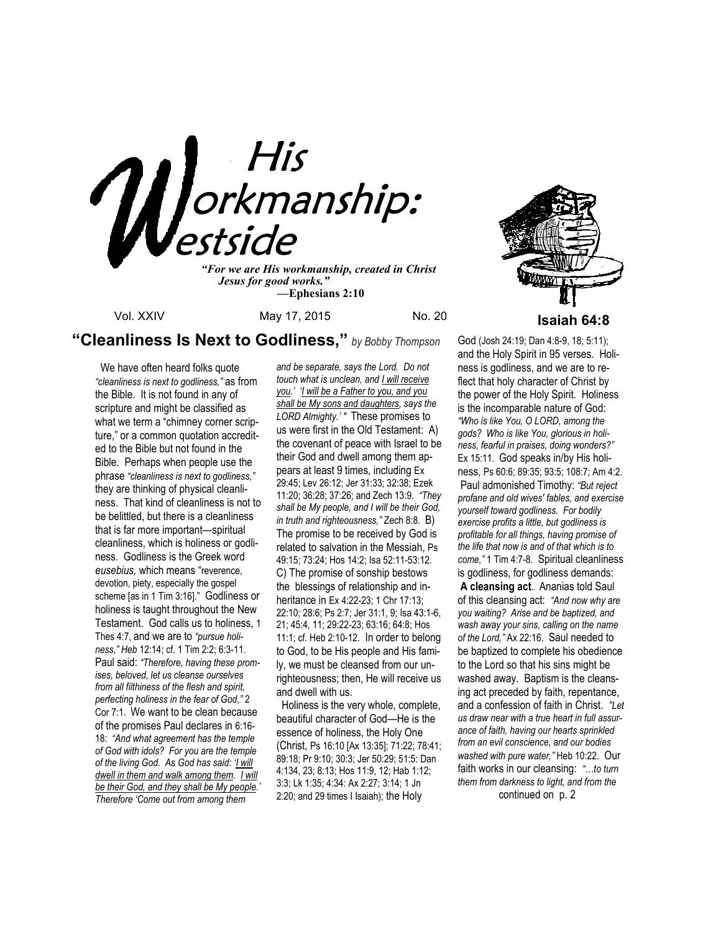

*"For we are His workmanship, created in Christ Jesus for good works." —***Ephesians 2:10**

# **"Cleanliness Is Next to Godliness,"** *by Bobby Thompson*

 We have often heard folks quote *"cleanliness is next to godliness,"* as from the Bible. It is not found in any of scripture and might be classified as what we term a "chimney corner scripture," or a common quotation accredited to the Bible but not found in the Bible. Perhaps when people use the phrase *"cleanliness is next to godliness,"* they are thinking of physical cleanliness. That kind of cleanliness is not to be belittled, but there is a cleanliness that is far more important—spiritual cleanliness, which is holiness or godliness. Godliness is the Greek word *eusebius,* which means "reverence, devotion, piety, especially the gospel scheme [as in 1 Tim 3:16]." Godliness or holiness is taught throughout the New Testament. God calls us to holiness, 1 Thes 4:7, and we are to *"pursue holiness," Heb* 12:14; cf. 1 Tim 2:2; 6:3-11. Paul said: *"Therefore, having these promises, beloved, let us cleanse ourselves from all filthiness of the flesh and spirit, perfecting holiness in the fear of God,"* 2 Cor 7:1. We want to be clean because of the promises Paul declares in 6:16- 18: *"And what agreement has the temple of God with idols? For you are the temple of the living God. As God has said: 'I will dwell in them and walk among them. I will be their God, and they shall be My people.' Therefore 'Come out from among them* 

*and be separate, says the Lord. Do not touch what is unclean, and I will receive you.' 'I will be a Father to you, and you shall be My sons and daughters, says the LORD Almighty.' "* These promises to us were first in the Old Testament: A) the covenant of peace with Israel to be their God and dwell among them appears at least 9 times, including Ex 29:45; Lev 26:12; Jer 31:33; 32:38; Ezek 11:20; 36:28; 37:26; and Zech 13:9. *"They shall be My people, and I will be their God, in truth and righteousness,"* Zech 8:8. B) The promise to be received by God is related to salvation in the Messiah, Ps 49:15; 73:24; Hos 14:2; Isa 52:11-53:12. C) The promise of sonship bestows the blessings of relationship and inheritance in Ex 4:22-23; 1 Chr 17:13; 22:10; 28:6; Ps 2:7; Jer 31:1, 9; Isa 43:1-6, 21; 45:4, 11; 29:22-23; 63:16; 64:8; Hos 11:1; cf. Heb 2:10-12. In order to belong to God, to be His people and His family, we must be cleansed from our unrighteousness; then, He will receive us and dwell with us.

 Holiness is the very whole, complete, beautiful character of God—He is the essence of holiness, the Holy One (Christ, Ps 16:10 [Ax 13:35]; 71:22; 78:41; 89:18; Pr 9:10; 30:3; Jer 50:29; 51:5: Dan 4:134, 23; 8:13; Hos 11:9, 12; Hab 1:12; 3:3; Lk 1:35; 4:34: Ax 2:27; 3:14; 1 Jn 2:20; and 29 times I Isaiah); the Holy



God (Josh 24:19; Dan 4:8-9, 18; 5:11); and the Holy Spirit in 95 verses. Holiness is godliness, and we are to reflect that holy character of Christ by the power of the Holy Spirit. Holiness is the incomparable nature of God: *"Who is like You, O LORD, among the gods? Who is like You, glorious in holiness, fearful in praises, doing wonders?"*  Ex 15:11. God speaks in/by His holiness, Ps 60:6; 89:35; 93:5; 108:7; Am 4:2. Paul admonished Timothy: *"But reject profane and old wives' fables, and exercise yourself toward godliness. For bodily exercise profits a little, but godliness is profitable for all things, having promise of the life that now is and of that which is to come,"* 1 Tim 4:7-8. Spiritual cleanliness is godliness, for godliness demands: **A cleansing act**. Ananias told Saul of this cleansing act: *"And now why are you waiting? Arise and be baptized, and wash away your sins, calling on the name of the Lord,"* Ax 22:16. Saul needed to be baptized to complete his obedience to the Lord so that his sins might be washed away. Baptism is the cleansing act preceded by faith, repentance, and a confession of faith in Christ. *"Let us draw near with a true heart in full assurance of faith, having our hearts sprinkled from an evil conscience, and our bodies washed with pure water,"* Heb 10:22. Our faith works in our cleansing: *"…to turn them from darkness to light, and from the* 

continued on p. 2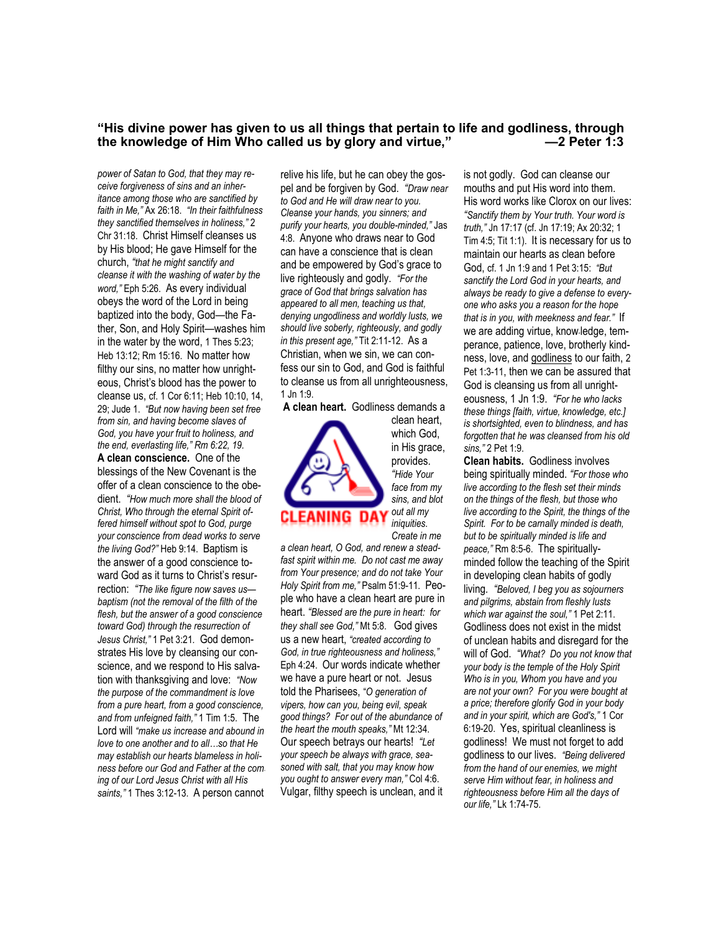# **"His divine power has given to us all things that pertain to life and godliness, through**  the knowledge of Him Who called us by glory and virtue,"

*power of Satan to God, that they may receive forgiveness of sins and an inheritance among those who are sanctified by faith in Me,"* Ax 26:18. *"In their faithfulness they sanctified themselves in holiness,"* 2 Chr 31:18. Christ Himself cleanses us by His blood; He gave Himself for the church, *"that he might sanctify and cleanse it with the washing of water by the word,"* Eph 5:26. As every individual obeys the word of the Lord in being baptized into the body, God—the Father, Son, and Holy Spirit—washes him in the water by the word, 1 Thes 5:23; Heb 13:12; Rm 15:16. No matter how filthy our sins, no matter how unrighteous, Christ's blood has the power to cleanse us, cf. 1 Cor 6:11; Heb 10:10, 14, 29; Jude 1. *"But now having been set free from sin, and having become slaves of God, you have your fruit to holiness, and the end, everlasting life," Rm 6:22, 19.*  **A clean conscience.** One of the blessings of the New Covenant is the offer of a clean conscience to the obedient. *"How much more shall the blood of Christ, Who through the eternal Spirit offered himself without spot to God, purge your conscience from dead works to serve the living God?"* Heb 9:14. Baptism is the answer of a good conscience toward God as it turns to Christ's resurrection: *"The like figure now saves us baptism (not the removal of the filth of the flesh, but the answer of a good conscience toward God) through the resurrection of Jesus Christ,"* 1 Pet 3:21*.* God demonstrates His love by cleansing our conscience, and we respond to His salvation with thanksgiving and love: *"Now the purpose of the commandment is love from a pure heart, from a good conscience, and from unfeigned faith,"* 1 Tim 1:5. The Lord will *"make us increase and abound in love to one another and to all…so that He may establish our hearts blameless in holiness before our God and Father at the coming of our Lord Jesus Christ with all His saints,"* 1 Thes 3:12-13. A person cannot

relive his life, but he can obey the gospel and be forgiven by God. *"Draw near to God and He will draw near to you. Cleanse your hands, you sinners; and purify your hearts, you double-minded,"* Jas 4:8. Anyone who draws near to God can have a conscience that is clean and be empowered by God's grace to live righteously and godly. *"For the grace of God that brings salvation has appeared to all men, teaching us that, denying ungodliness and worldly lusts, we should live soberly, righteously, and godly in this present age,"* Tit 2:11-12. As a Christian, when we sin, we can confess our sin to God, and God is faithful to cleanse us from all unrighteousness, 1 Jn 1:9.

**A clean heart.** Godliness demands a



*face from my sins, and blot out all my iniquities. Create in me a clean heart, O God, and renew a steadfast spirit within me. Do not cast me away from Your presence; and do not take Your Holy Spirit from me,"* Psalm 51:9-11. People who have a clean heart are pure in

heart. *"Blessed are the pure in heart: for they shall see God,"* Mt 5:8. God gives us a new heart, *"created according to God, in true righteousness and holiness,"*  Eph 4:24. Our words indicate whether we have a pure heart or not. Jesus told the Pharisees, "*O generation of vipers, how can you, being evil, speak good things? For out of the abundance of the heart the mouth speaks,"* Mt 12:34. Our speech betrays our hearts! *"Let your speech be always with grace, seasoned with salt, that you may know how you ought to answer every man,"* Col 4:6. Vulgar, filthy speech is unclean, and it is not godly. God can cleanse our mouths and put His word into them. His word works like Clorox on our lives: *"Sanctify them by Your truth. Your word is truth,"* Jn 17:17 (cf. Jn 17:19; Ax 20:32; 1 Tim 4:5; Tit 1:1). It is necessary for us to maintain our hearts as clean before God, cf. 1 Jn 1:9 and 1 Pet 3:15: *"But sanctify the Lord God in your hearts, and always be ready to give a defense to everyone who asks you a reason for the hope that is in you, with meekness and fear."* If we are adding virtue, know-ledge, temperance, patience, love, brotherly kindness, love, and godliness to our faith, 2 Pet 1:3-11, then we can be assured that God is cleansing us from all unrighteousness, 1 Jn 1:9. *"For he who lacks these things [faith, virtue, knowledge, etc.] is shortsighted, even to blindness, and has forgotten that he was cleansed from his old sins,"* 2 Pet 1:9.

**Clean habits.** Godliness involves being spiritually minded. *"For those who live according to the flesh set their minds on the things of the flesh, but those who live according to the Spirit, the things of the Spirit. For to be carnally minded is death, but to be spiritually minded is life and peace,"* Rm 8:5-6. The spirituallyminded follow the teaching of the Spirit in developing clean habits of godly living*. "Beloved, I beg you as sojourners and pilgrims, abstain from fleshly lusts which war against the soul,"* 1 Pet 2:11. Godliness does not exist in the midst of unclean habits and disregard for the will of God. *"What? Do you not know that your body is the temple of the Holy Spirit Who is in you, Whom you have and you are not your own? For you were bought at a price; therefore glorify God in your body and in your spirit, which are God's,"* 1 Cor 6:19-20. Yes, spiritual cleanliness is godliness! We must not forget to add godliness to our lives. *"Being delivered from the hand of our enemies, we might serve Him without fear, in holiness and righteousness before Him all the days of our life,"* Lk 1:74-75.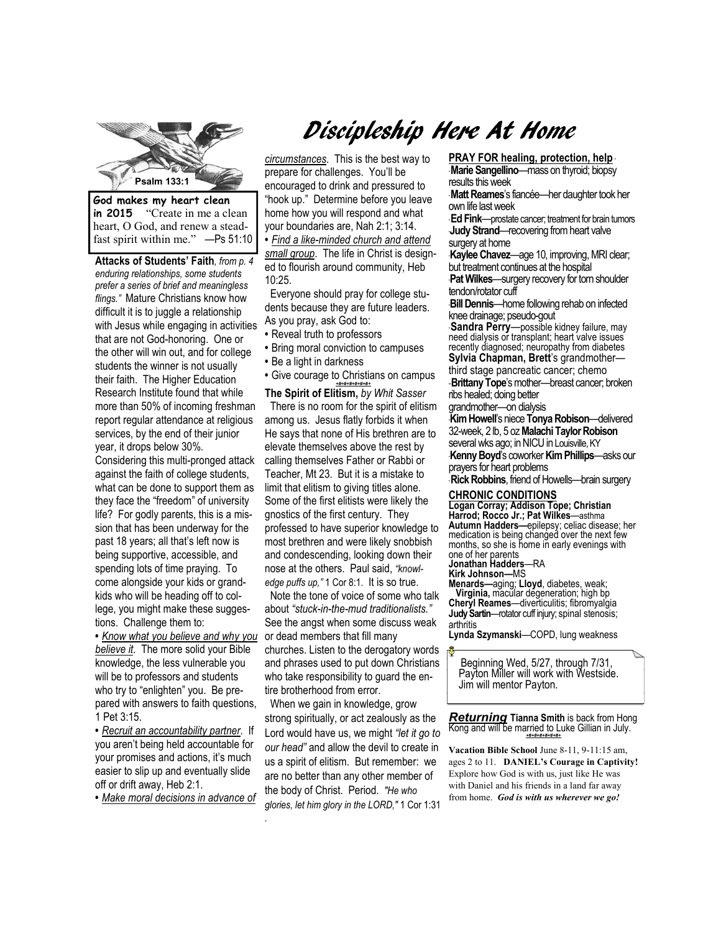

**in 2015** "Create in me a clean heart, O God, and renew a steadfast spirit within me." —Ps 51:10

**Attacks of Students' Faith***, from p. 4 enduring relationships, some students prefer a series of brief and meaningless flings."* Mature Christians know how difficult it is to juggle a relationship with Jesus while engaging in activities that are not God-honoring. One or the other will win out, and for college students the winner is not usually their faith. The Higher Education Research Institute found that while more than 50% of incoming freshman report regular attendance at religious services, by the end of their junior year, it drops below 30%.

Considering this multi-pronged attack against the faith of college students, what can be done to support them as they face the "freedom" of university life? For godly parents, this is a mission that has been underway for the past 18 years; all that's left now is being supportive, accessible, and spending lots of time praying. To come alongside your kids or grandkids who will be heading off to college, you might make these suggestions. Challenge them to:

**•** *Know what you believe and why you*  or dead members that fill many *believe it.* The more solid your Bible knowledge, the less vulnerable you will be to professors and students who try to "enlighten" you. Be prepared with answers to faith questions, 1 Pet 3:15.

**•** *Recruit an accountability partner*. If you aren't being held accountable for your promises and actions, it's much easier to slip up and eventually slide off or drift away, Heb 2:1.

**•** *Make moral decisions in advance of* 

*.* 

# Discipleship Here At Home

*circumstances*. This is the best way to prepare for challenges. You'll be encouraged to drink and pressured to "hook up." Determine before you leave home how you will respond and what your boundaries are, Nah 2:1; 3:14.

**•** *Find a like-minded church and attend small group*. The life in Christ is designed to flourish around community, Heb 10:25.

 Everyone should pray for college students because they are future leaders. As you pray, ask God to:

- **•** Reveal truth to professors
- **•** Bring moral conviction to campuses
- Be a light in darkness
- **•** Give courage to Christians on campus *+#+#+#+#+#+#+*

**The Spirit of Elitism,** *by Whit Sasser*  There is no room for the spirit of elitism among us. Jesus flatly forbids it when He says that none of His brethren are to elevate themselves above the rest by calling themselves Father or Rabbi or Teacher, Mt 23. But it is a mistake to limit that elitism to giving titles alone. Some of the first elitists were likely the gnostics of the first century. They professed to have superior knowledge to most brethren and were likely snobbish and condescending, looking down their nose at the others. Paul said, *"knowledge puffs up,"* 1 Cor 8:1. It is so true.

 Note the tone of voice of some who talk about *"stuck-in-the-mud traditionalists."*  See the angst when some discuss weak

churches. Listen to the derogatory words and phrases used to put down Christians who take responsibility to guard the entire brotherhood from error.

 When we gain in knowledge, grow strong spiritually, or act zealously as the Lord would have us, we might *"let it go to our head"* and allow the devil to create in us a spirit of elitism. But remember: we are no better than any other member of the body of Christ. Period. *"He who glories, let him glory in the LORD,"* 1 Cor 1:31 **PRAY FOR healing, protection, help** \*

\* **Marie Sangellino**—mass on thyroid; biopsy results this week

\* **Matt Reames**'s fiancée—her daughter took her own life last week

\* **Ed Fink**—prostate cancer; treatment for brain tumors **Judy Strand—recovering from heart valve** surgery at home

**Kaylee Chavez—age 10, improving, MRI clear;** but treatment continues at the hospital

**Pat Wilkes**—surgery recovery for torn shoulder tendon/rotator cuff

\***Bill Dennis**—home following rehab on infected knee drainage; pseudo-gout

\* **Sandra Perry**—possible kidney failure, may need dialysis or transplant; heart valve issues recently diagnosed; neuropathy from diabetes **Sylvia Chapman, Brett**'s grandmother third stage pancreatic cancer; chemo

-**Brittany Tope**'s mother---breast cancer; broken ribs healed; doing better

grandmother—on dialysis

\***Kim Howell**'s niece **Tonya Robison**—delivered 32-week, 2 lb, 5 oz **Malachi Taylor Robison**  several wks ago; in NICU in Louisville, KY \***Kenny Boyd**'s coworker **Kim Phillips**—asks our prayers for heart problems

\* **Rick Robbins**, friend of Howells—brain surgery

#### **CHRONIC CONDITIONS**

**Logan Corray; Addison Tope; Christian Harrod; Rocco Jr.; Pat Wilkes**—asthma **Autumn Hadders—**epilepsy; celiac disease; her medication is being changed over the next few months, so she is home in early evenings with one of her parents **Jonathan Hadders**—RA

**Kirk Johnson—**MS

**Menards—**aging; **Lloyd**, diabetes, weak; **Virginia,** macular degeneration; high bp **Cheryl Reames**—diverticulitis; fibromyalgia **Judy Sartin**—rotator cuff injury; spinal stenosis; arthritis

**Lynda Szymanski**—COPD, lung weakness

Beginning Wed, 5/27, through 7/31, Payton Miller will work with Westside. Jim will mentor Payton.

*Returning* **Tianna Smith** is back from Hong Kong and will be married to Luke Gillian in July. *+#+#+#+#+#+#+* 

 **Vacation Bible School** June 8-11, 9-11:15 am, ages 2 to 11. **DANIEL's Courage in Captivity!**  Explore how God is with us, just like He was with Daniel and his friends in a land far away from home. *God is with us wherever we go!*